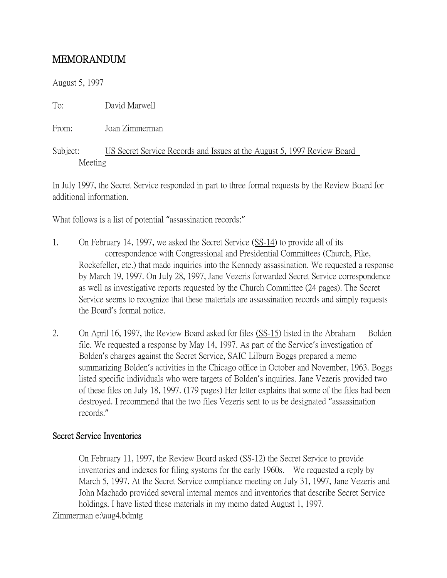## MEMORANDUM

August 5, 1997

To: David Marwell

From: Joan Zimmerman

Subject: US Secret Service Records and Issues at the August 5, 1997 Review Board Meeting

In July 1997, the Secret Service responded in part to three formal requests by the Review Board for additional information.

What follows is a list of potential "assassination records:"

- 1. On February 14, 1997, we asked the Secret Service (SS-14) to provide all of its correspondence with Congressional and Presidential Committees (Church, Pike, Rockefeller, etc.) that made inquiries into the Kennedy assassination. We requested a response by March 19, 1997. On July 28, 1997, Jane Vezeris forwarded Secret Service correspondence as well as investigative reports requested by the Church Committee (24 pages). The Secret Service seems to recognize that these materials are assassination records and simply requests the Board's formal notice.
- 2. On April 16, 1997, the Review Board asked for files (SS-15) listed in the Abraham Bolden file. We requested a response by May 14, 1997. As part of the Service's investigation of Bolden's charges against the Secret Service, SAIC Lilburn Boggs prepared a memo summarizing Bolden's activities in the Chicago office in October and November, 1963. Boggs listed specific individuals who were targets of Bolden's inquiries. Jane Vezeris provided two of these files on July 18, 1997. (179 pages) Her letter explains that some of the files had been destroyed. I recommend that the two files Vezeris sent to us be designated "assassination records."

## Secret Service Inventories

On February 11, 1997, the Review Board asked (SS-12) the Secret Service to provide inventories and indexes for filing systems for the early 1960s. We requested a reply by March 5, 1997. At the Secret Service compliance meeting on July 31, 1997, Jane Vezeris and John Machado provided several internal memos and inventories that describe Secret Service holdings. I have listed these materials in my memo dated August 1, 1997.

Zimmerman e:\aug4.bdmtg